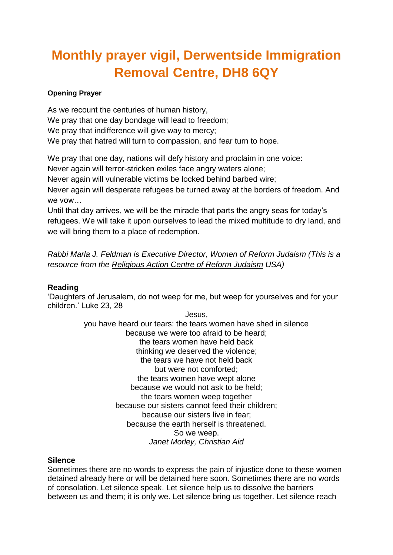# **Monthly prayer vigil, Derwentside Immigration Removal Centre, DH8 6QY**

### **Opening Prayer**

As we recount the centuries of human history, We pray that one day bondage will lead to freedom; We pray that indifference will give way to mercy; We pray that hatred will turn to compassion, and fear turn to hope.

We pray that one day, nations will defy history and proclaim in one voice:

Never again will terror-stricken exiles face angry waters alone;

Never again will vulnerable victims be locked behind barbed wire;

Never again will desperate refugees be turned away at the borders of freedom. And we vow

Until that day arrives, we will be the miracle that parts the angry seas for today's refugees. We will take it upon ourselves to lead the mixed multitude to dry land, and we will bring them to a place of redemption.

*Rabbi Marla J. Feldman is Executive Director, Women of Reform Judaism (This is a resource from the [Religious](https://rac.org/refugees) Action Centre of Reform Judaism USA)*

## **Reading**

'Daughters of Jerusalem, do not weep for me, but weep for yourselves and for your children.' Luke 23, 28

> Jesus, you have heard our tears: the tears women have shed in silence because we were too afraid to be heard; the tears women have held back thinking we deserved the violence; the tears we have not held back but were not comforted; the tears women have wept alone because we would not ask to be held; the tears women weep together because our sisters cannot feed their children; because our sisters live in fear; because the earth herself is threatened. So we weep. *Janet Morley, Christian Aid*

#### **Silence**

Sometimes there are no words to express the pain of injustice done to these women detained already here or will be detained here soon. Sometimes there are no words of consolation. Let silence speak. Let silence help us to dissolve the barriers between us and them; it is only we. Let silence bring us together. Let silence reach